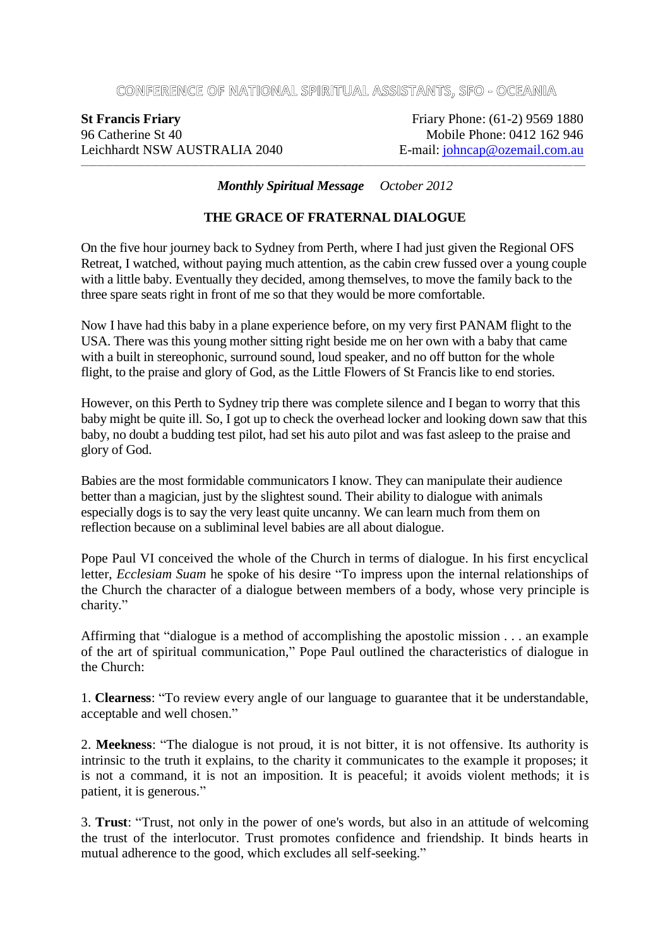## CONFERENCE OF NATIONAL SPIRITUAL ASSISTANTS, SFO - OCEANIA

**St Francis Friary 2018 Friary Phone: (61-2) 9569 1880** 96 Catherine St 40 Mobile Phone: 0412 162 946 Leichhardt NSW AUSTRALIA 2040 E-mail: [johncap@ozemail.com.au](mailto:johncap@ozemail.com.au)

*Monthly Spiritual Message October 2012*

*\_\_\_\_\_\_\_\_\_\_\_\_\_\_\_\_\_\_\_\_\_\_\_\_\_\_\_\_\_\_\_\_\_\_\_\_\_\_\_\_\_\_\_\_\_\_\_\_\_\_\_\_\_\_\_\_\_\_\_\_\_\_\_\_\_\_\_\_\_\_\_\_\_\_\_\_\_\_\_\_\_\_\_\_\_\_\_\_\_\_\_\_\_\_\_\_\_\_\_\_\_\_\_\_\_\_\_\_\_\_\_\_\_\_\_\_\_\_\_\_\_\_\_\_\_\_\_\_*

## **THE GRACE OF FRATERNAL DIALOGUE**

On the five hour journey back to Sydney from Perth, where I had just given the Regional OFS Retreat, I watched, without paying much attention, as the cabin crew fussed over a young couple with a little baby. Eventually they decided, among themselves, to move the family back to the three spare seats right in front of me so that they would be more comfortable.

Now I have had this baby in a plane experience before, on my very first PANAM flight to the USA. There was this young mother sitting right beside me on her own with a baby that came with a built in stereophonic, surround sound, loud speaker, and no off button for the whole flight, to the praise and glory of God, as the Little Flowers of St Francis like to end stories.

However, on this Perth to Sydney trip there was complete silence and I began to worry that this baby might be quite ill. So, I got up to check the overhead locker and looking down saw that this baby, no doubt a budding test pilot, had set his auto pilot and was fast asleep to the praise and glory of God.

Babies are the most formidable communicators I know. They can manipulate their audience better than a magician, just by the slightest sound. Their ability to dialogue with animals especially dogs is to say the very least quite uncanny. We can learn much from them on reflection because on a subliminal level babies are all about dialogue.

Pope Paul VI conceived the whole of the Church in terms of dialogue. In his first encyclical letter, *Ecclesiam Suam* he spoke of his desire "To impress upon the internal relationships of the Church the character of a dialogue between members of a body, whose very principle is charity."

Affirming that "dialogue is a method of accomplishing the apostolic mission . . . an example of the art of spiritual communication," Pope Paul outlined the characteristics of dialogue in the Church:

1. **Clearness**: "To review every angle of our language to guarantee that it be understandable, acceptable and well chosen."

2. **Meekness**: "The dialogue is not proud, it is not bitter, it is not offensive. Its authority is intrinsic to the truth it explains, to the charity it communicates to the example it proposes; it is not a command, it is not an imposition. It is peaceful; it avoids violent methods; it is patient, it is generous."

3. **Trust**: "Trust, not only in the power of one's words, but also in an attitude of welcoming the trust of the interlocutor. Trust promotes confidence and friendship. It binds hearts in mutual adherence to the good, which excludes all self-seeking."